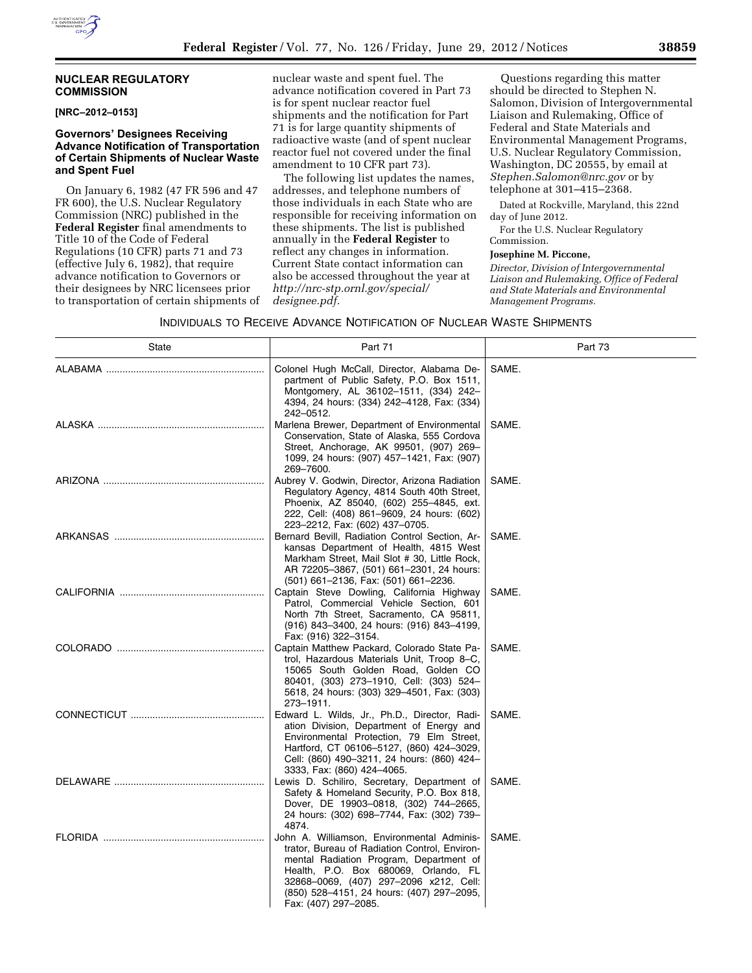## **NUCLEAR REGULATORY COMMISSION**

### **[NRC–2012–0153]**

### **Governors' Designees Receiving Advance Notification of Transportation of Certain Shipments of Nuclear Waste and Spent Fuel**

On January 6, 1982 (47 FR 596 and 47 FR 600), the U.S. Nuclear Regulatory Commission (NRC) published in the **Federal Register** final amendments to Title 10 of the Code of Federal Regulations (10 CFR) parts 71 and 73 (effective July 6, 1982), that require advance notification to Governors or their designees by NRC licensees prior to transportation of certain shipments of nuclear waste and spent fuel. The advance notification covered in Part 73 is for spent nuclear reactor fuel shipments and the notification for Part 71 is for large quantity shipments of radioactive waste (and of spent nuclear reactor fuel not covered under the final amendment to 10 CFR part 73).

The following list updates the names, addresses, and telephone numbers of those individuals in each State who are responsible for receiving information on these shipments. The list is published annually in the **Federal Register** to reflect any changes in information. Current State contact information can also be accessed throughout the year at *[http://nrc-stp.ornl.gov/special/](http://nrc-stp.ornl.gov/special/designee.pdf)  [designee.pdf.](http://nrc-stp.ornl.gov/special/designee.pdf)* 

Questions regarding this matter should be directed to Stephen N. Salomon, Division of Intergovernmental Liaison and Rulemaking, Office of Federal and State Materials and Environmental Management Programs, U.S. Nuclear Regulatory Commission, Washington, DC 20555, by email at *[Stephen.Salomon@nrc.gov](mailto:Stephen.Salomon@nrc.gov)* or by telephone at 301–415–2368.

Dated at Rockville, Maryland, this 22nd day of June 2012.

For the U.S. Nuclear Regulatory Commission.

#### **Josephine M. Piccone,**

*Director, Division of Intergovernmental Liaison and Rulemaking, Office of Federal and State Materials and Environmental Management Programs.* 

### INDIVIDUALS TO RECEIVE ADVANCE NOTIFICATION OF NUCLEAR WASTE SHIPMENTS

| State | Part 71                                                                                                                                                                                                                                                                                       | Part 73 |
|-------|-----------------------------------------------------------------------------------------------------------------------------------------------------------------------------------------------------------------------------------------------------------------------------------------------|---------|
|       | Colonel Hugh McCall, Director, Alabama De-<br>partment of Public Safety, P.O. Box 1511,<br>Montgomery, AL 36102-1511, (334) 242-<br>4394, 24 hours: (334) 242-4128, Fax: (334)<br>242-0512.                                                                                                   | SAME.   |
|       | Marlena Brewer, Department of Environmental<br>Conservation, State of Alaska, 555 Cordova<br>Street, Anchorage, AK 99501, (907) 269-<br>1099, 24 hours: (907) 457-1421, Fax: (907)<br>269-7600.                                                                                               | SAME.   |
|       | Aubrey V. Godwin, Director, Arizona Radiation<br>Regulatory Agency, 4814 South 40th Street,<br>Phoenix, AZ 85040, (602) 255-4845, ext.<br>222, Cell: (408) 861–9609, 24 hours: (602)<br>223–2212, Fax: (602) 437–0705.                                                                        | SAME.   |
|       | Bernard Bevill, Radiation Control Section, Ar-<br>kansas Department of Health, 4815 West<br>Markham Street, Mail Slot # 30, Little Rock,<br>AR 72205-3867, (501) 661-2301, 24 hours:<br>(501) 661-2136, Fax: (501) 661-2236.                                                                  | SAME.   |
|       | Captain Steve Dowling, California Highway<br>Patrol, Commercial Vehicle Section, 601<br>North 7th Street, Sacramento, CA 95811,<br>(916) 843-3400, 24 hours: (916) 843-4199,<br>Fax: (916) 322-3154.                                                                                          | SAME.   |
|       | Captain Matthew Packard, Colorado State Pa-<br>trol, Hazardous Materials Unit, Troop 8–C,<br>15065 South Golden Road, Golden CO<br>80401, (303) 273-1910, Cell: (303) 524-<br>5618, 24 hours: (303) 329-4501, Fax: (303)<br>273-1911.                                                         | SAME.   |
|       | Edward L. Wilds, Jr., Ph.D., Director, Radi-<br>ation Division, Department of Energy and<br>Environmental Protection, 79 Elm Street,<br>Hartford, CT 06106-5127, (860) 424-3029,<br>Cell: (860) 490-3211, 24 hours: (860) 424-<br>3333, Fax: (860) 424-4065.                                  | SAME.   |
|       | Lewis D. Schiliro, Secretary, Department of<br>Safety & Homeland Security, P.O. Box 818,<br>Dover, DE 19903-0818, (302) 744-2665,<br>24 hours: (302) 698-7744, Fax: (302) 739-<br>4874.                                                                                                       | SAME.   |
|       | John A. Williamson, Environmental Adminis-<br>trator, Bureau of Radiation Control, Environ-<br>mental Radiation Program, Department of<br>Health, P.O. Box 680069, Orlando, FL<br>32868-0069, (407) 297-2096 x212, Cell:<br>(850) 528-4151, 24 hours: (407) 297-2095,<br>Fax: (407) 297-2085. | SAME.   |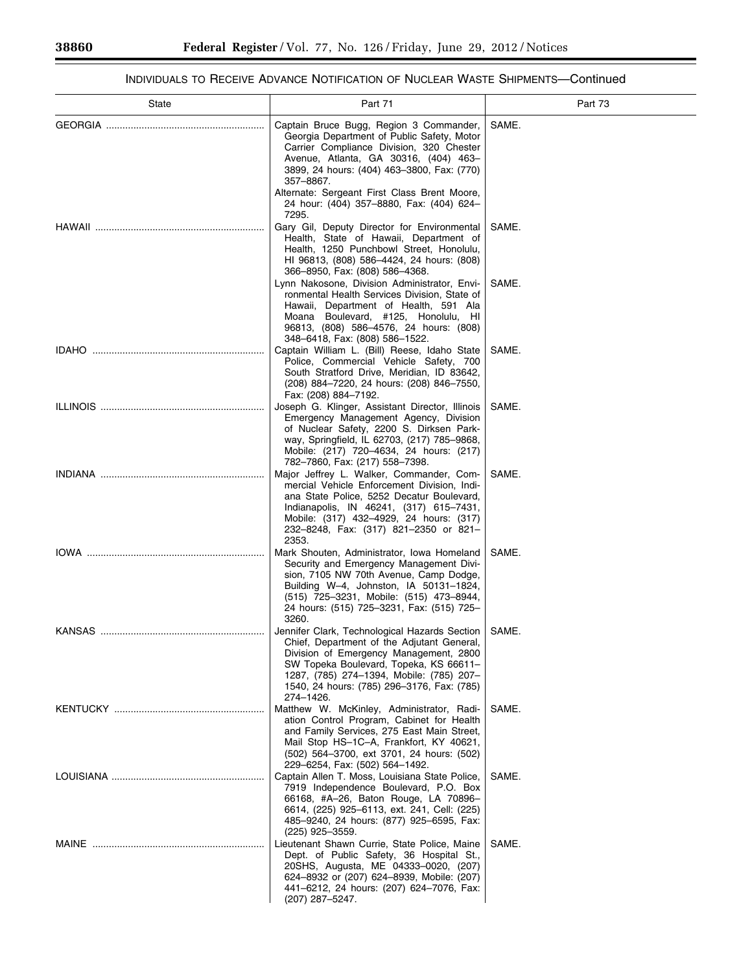$\equiv$ 

٠

# INDIVIDUALS TO RECEIVE ADVANCE NOTIFICATION OF NUCLEAR WASTE SHIPMENTS—Continued

| <b>State</b> | Part 71                                                                                                                                                                                                                                                                                                                           | Part 73        |
|--------------|-----------------------------------------------------------------------------------------------------------------------------------------------------------------------------------------------------------------------------------------------------------------------------------------------------------------------------------|----------------|
|              | Captain Bruce Bugg, Region 3 Commander,<br>Georgia Department of Public Safety, Motor<br>Carrier Compliance Division, 320 Chester<br>Avenue, Atlanta, GA 30316, (404) 463-<br>3899, 24 hours: (404) 463-3800, Fax: (770)<br>357-8867.<br>Alternate: Sergeant First Class Brent Moore,<br>24 hour: (404) 357-8880, Fax: (404) 624- | SAME.          |
|              | 7295.<br>Gary Gil, Deputy Director for Environmental<br>Health, State of Hawaii, Department of<br>Health, 1250 Punchbowl Street, Honolulu,<br>HI 96813, (808) 586-4424, 24 hours: (808)<br>366-8950, Fax: (808) 586-4368.<br>Lynn Nakosone, Division Administrator, Envi-<br>ronmental Health Services Division, State of         | SAME.<br>SAME. |
|              | Hawaii, Department of Health, 591 Ala<br>Moana Boulevard, #125, Honolulu, HI<br>96813, (808) 586-4576, 24 hours: (808)<br>348-6418, Fax: (808) 586-1522.<br>Captain William L. (Bill) Reese, Idaho State                                                                                                                          | SAME.          |
|              | Police, Commercial Vehicle Safety, 700<br>South Stratford Drive, Meridian, ID 83642,<br>(208) 884–7220, 24 hours: (208) 846–7550,<br>Fax: (208) 884-7192.                                                                                                                                                                         |                |
|              | Joseph G. Klinger, Assistant Director, Illinois<br>Emergency Management Agency, Division<br>of Nuclear Safety, 2200 S. Dirksen Park-<br>way, Springfield, IL 62703, (217) 785-9868,<br>Mobile: (217) 720-4634, 24 hours: (217)<br>782-7860, Fax: (217) 558-7398.                                                                  | SAME.          |
|              | Major Jeffrey L. Walker, Commander, Com-<br>mercial Vehicle Enforcement Division, Indi-<br>ana State Police, 5252 Decatur Boulevard,<br>Indianapolis, IN 46241, (317) 615-7431,<br>Mobile: (317) 432-4929, 24 hours: (317)<br>232-8248, Fax: (317) 821-2350 or 821-<br>2353.                                                      | SAME.          |
|              | Mark Shouten, Administrator, Iowa Homeland<br>Security and Emergency Management Divi-<br>sion, 7105 NW 70th Avenue, Camp Dodge,<br>Building W-4, Johnston, IA 50131-1824,<br>(515) 725-3231, Mobile: (515) 473-8944,<br>24 hours: (515) 725-3231, Fax: (515) 725-<br>3260.                                                        | SAME.          |
|              | Jennifer Clark, Technological Hazards Section<br>Chief, Department of the Adjutant General,<br>Division of Emergency Management, 2800<br>SW Topeka Boulevard, Topeka, KS 66611-<br>1287, (785) 274-1394, Mobile: (785) 207-<br>1540, 24 hours: (785) 296-3176, Fax: (785)<br>274-1426.                                            | SAME.          |
|              | Matthew W. McKinley, Administrator, Radi-<br>ation Control Program, Cabinet for Health<br>and Family Services, 275 East Main Street,<br>Mail Stop HS-1C-A, Frankfort, KY 40621,<br>(502) 564-3700, ext 3701, 24 hours: (502)<br>229-6254, Fax: (502) 564-1492.                                                                    | SAME.          |
|              | Captain Allen T. Moss, Louisiana State Police,<br>7919 Independence Boulevard, P.O. Box<br>66168, #A-26, Baton Rouge, LA 70896-<br>6614, (225) 925–6113, ext. 241, Cell: (225)<br>485-9240, 24 hours: (877) 925-6595, Fax:<br>$(225)$ 925-3559.                                                                                   | SAME.          |
|              | Lieutenant Shawn Currie, State Police, Maine<br>Dept. of Public Safety, 36 Hospital St.,<br>20SHS, Augusta, ME 04333-0020, (207)<br>624-8932 or (207) 624-8939, Mobile: (207)<br>441-6212, 24 hours: (207) 624-7076, Fax:<br>(207) 287-5247.                                                                                      | SAME.          |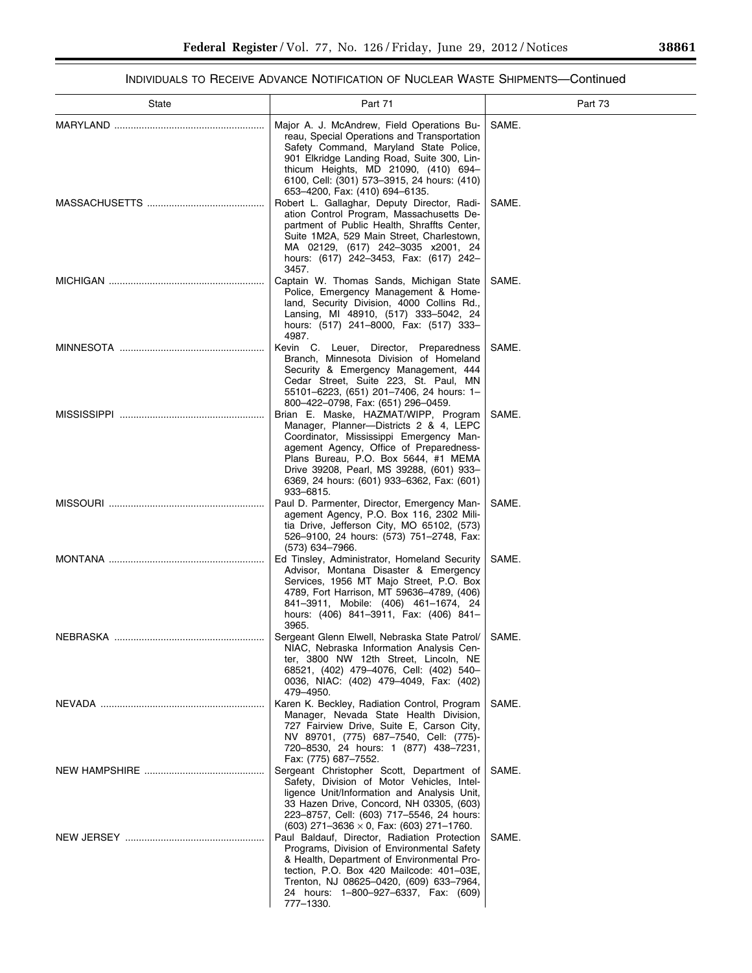# INDIVIDUALS TO RECEIVE ADVANCE NOTIFICATION OF NUCLEAR WASTE SHIPMENTS—Continued

| State | Part 71                                                                                                                                                                                                                                                                                                               | Part 73 |
|-------|-----------------------------------------------------------------------------------------------------------------------------------------------------------------------------------------------------------------------------------------------------------------------------------------------------------------------|---------|
|       | Major A. J. McAndrew, Field Operations Bu-<br>reau, Special Operations and Transportation<br>Safety Command, Maryland State Police,<br>901 Elkridge Landing Road, Suite 300, Lin-<br>thicum Heights, MD 21090, (410) 694–<br>6100, Cell: (301) 573-3915, 24 hours: (410)<br>653-4200, Fax: (410) 694-6135.            | SAME.   |
|       | Robert L. Gallaghar, Deputy Director, Radi-<br>ation Control Program, Massachusetts De-<br>partment of Public Health, Shraffts Center,<br>Suite 1M2A, 529 Main Street, Charlestown,<br>MA 02129, (617) 242-3035 x2001, 24<br>hours: (617) 242-3453, Fax: (617) 242-<br>3457.                                          | SAME.   |
|       | Captain W. Thomas Sands, Michigan State<br>Police, Emergency Management & Home-<br>land, Security Division, 4000 Collins Rd.,<br>Lansing, MI 48910, (517) 333–5042, 24<br>hours: (517) 241-8000, Fax: (517) 333-<br>4987.                                                                                             | SAME.   |
|       | Kevin C. Leuer, Director, Preparedness<br>Branch, Minnesota Division of Homeland<br>Security & Emergency Management, 444<br>Cedar Street, Suite 223, St. Paul, MN<br>55101-6223, (651) 201-7406, 24 hours: 1-<br>800–422–0798, Fax: (651) 296–0459.                                                                   | SAME.   |
|       | Brian E. Maske, HAZMAT/WIPP, Program<br>Manager, Planner---Districts 2 & 4, LEPC<br>Coordinator, Mississippi Emergency Man-<br>agement Agency, Office of Preparedness-<br>Plans Bureau, P.O. Box 5644, #1 MEMA<br>Drive 39208, Pearl, MS 39288, (601) 933-<br>6369, 24 hours: (601) 933-6362, Fax: (601)<br>933-6815. | SAME.   |
|       | Paul D. Parmenter, Director, Emergency Man-<br>agement Agency, P.O. Box 116, 2302 Mili-<br>tia Drive, Jefferson City, MO 65102, (573)<br>526-9100, 24 hours: (573) 751-2748, Fax:<br>(573) 634-7966.                                                                                                                  | SAME.   |
|       | Ed Tinsley, Administrator, Homeland Security<br>Advisor, Montana Disaster & Emergency<br>Services, 1956 MT Majo Street, P.O. Box<br>4789, Fort Harrison, MT 59636-4789, (406)<br>841-3911, Mobile: (406) 461-1674, 24<br>hours: (406) 841-3911, Fax: (406) 841-<br>3965.                                              | SAME.   |
|       | Sergeant Glenn Elwell, Nebraska State Patrol/<br>NIAC, Nebraska Information Analysis Cen-<br>ter, 3800 NW 12th Street, Lincoln, NE<br>68521, (402) 479-4076, Cell: (402) 540-<br>0036, NIAC: (402) 479-4049, Fax: (402)<br>479-4950.                                                                                  | SAME.   |
|       | Karen K. Beckley, Radiation Control, Program<br>Manager, Nevada State Health Division,<br>727 Fairview Drive, Suite E, Carson City,<br>NV 89701, (775) 687-7540, Cell: (775)-<br>720-8530, 24 hours: 1 (877) 438-7231,<br>Fax: (775) 687-7552.                                                                        | SAME.   |
|       | Sergeant Christopher Scott, Department of<br>Safety, Division of Motor Vehicles, Intel-<br>ligence Unit/Information and Analysis Unit,<br>33 Hazen Drive, Concord, NH 03305, (603)<br>223-8757, Cell: (603) 717-5546, 24 hours:<br>$(603)$ 271-3636 $\times$ 0, Fax: (603) 271-1760.                                  | SAME.   |
|       | Paul Baldauf, Director, Radiation Protection<br>Programs, Division of Environmental Safety<br>& Health, Department of Environmental Pro-<br>tection, P.O. Box 420 Mailcode: 401-03E,<br>Trenton, NJ 08625-0420, (609) 633-7964,<br>24 hours: 1-800-927-6337, Fax: (609)<br>777-1330.                                  | SAME.   |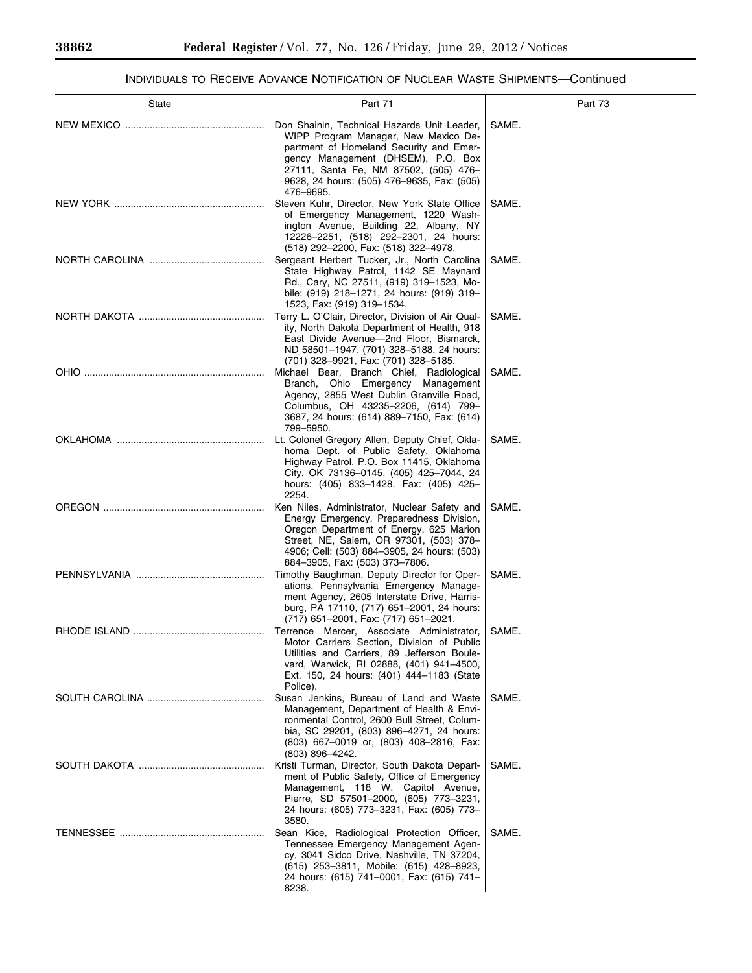$\equiv$ 

# INDIVIDUALS TO RECEIVE ADVANCE NOTIFICATION OF NUCLEAR WASTE SHIPMENTS—Continued

÷.

| State | Part 71                                                                                                                                                                                                                                                                  | Part 73 |
|-------|--------------------------------------------------------------------------------------------------------------------------------------------------------------------------------------------------------------------------------------------------------------------------|---------|
|       | Don Shainin, Technical Hazards Unit Leader,<br>WIPP Program Manager, New Mexico De-<br>partment of Homeland Security and Emer-<br>gency Management (DHSEM), P.O. Box<br>27111, Santa Fe, NM 87502, (505) 476-<br>9628, 24 hours: (505) 476-9635, Fax: (505)<br>476-9695. | SAME.   |
|       | Steven Kuhr, Director, New York State Office<br>of Emergency Management, 1220 Wash-<br>ington Avenue, Building 22, Albany, NY<br>12226-2251, (518) 292-2301, 24 hours:<br>(518) 292-2200, Fax: (518) 322-4978.                                                           | SAME.   |
|       | Sergeant Herbert Tucker, Jr., North Carolina<br>State Highway Patrol, 1142 SE Maynard<br>Rd., Cary, NC 27511, (919) 319-1523, Mo-<br>bile: (919) 218-1271, 24 hours: (919) 319-<br>1523, Fax: (919) 319-1534.                                                            | SAME.   |
|       | Terry L. O'Clair, Director, Division of Air Qual-<br>ity, North Dakota Department of Health, 918<br>East Divide Avenue-2nd Floor, Bismarck,<br>ND 58501-1947, (701) 328-5188, 24 hours:<br>(701) 328-9921, Fax: (701) 328-5185.                                          | SAME.   |
|       | Michael Bear, Branch Chief, Radiological<br>Branch, Ohio Emergency Management<br>Agency, 2855 West Dublin Granville Road,<br>Columbus, OH 43235-2206, (614) 799-<br>3687, 24 hours: (614) 889–7150, Fax: (614)<br>799-5950.                                              | SAME.   |
|       | Lt. Colonel Gregory Allen, Deputy Chief, Okla-<br>homa Dept. of Public Safety, Oklahoma<br>Highway Patrol, P.O. Box 11415, Oklahoma<br>City, OK 73136-0145, (405) 425-7044, 24<br>hours: (405) 833-1428, Fax: (405) 425-<br>2254.                                        | SAME.   |
|       | Ken Niles, Administrator, Nuclear Safety and<br>Energy Emergency, Preparedness Division,<br>Oregon Department of Energy, 625 Marion<br>Street, NE, Salem, OR 97301, (503) 378-<br>4906; Cell: (503) 884–3905, 24 hours: (503)<br>884-3905, Fax: (503) 373-7806.          | SAME.   |
|       | Timothy Baughman, Deputy Director for Oper-<br>ations, Pennsylvania Emergency Manage-<br>ment Agency, 2605 Interstate Drive, Harris-<br>burg, PA 17110, (717) 651-2001, 24 hours:<br>(717) 651–2001, Fax: (717) 651–2021.                                                | SAME.   |
|       | Terrence Mercer, Associate Administrator,<br>Motor Carriers Section, Division of Public<br>Utilities and Carriers, 89 Jefferson Boule-<br>vard, Warwick, RI 02888, (401) 941-4500,<br>Ext. 150, 24 hours: (401) 444–1183 (State<br>Police).                              | SAME.   |
|       | Susan Jenkins, Bureau of Land and Waste<br>Management, Department of Health & Envi-<br>ronmental Control, 2600 Bull Street, Colum-<br>bia, SC 29201, (803) 896-4271, 24 hours:<br>(803) 667–0019 or, (803) 408–2816, Fax:<br>$(803)$ 896-4242.                           | SAME.   |
|       | Kristi Turman, Director, South Dakota Depart-<br>ment of Public Safety, Office of Emergency<br>Management, 118 W. Capitol Avenue,<br>Pierre, SD 57501-2000, (605) 773-3231,<br>24 hours: (605) 773-3231, Fax: (605) 773-<br>3580.                                        | SAME.   |
|       | Sean Kice, Radiological Protection Officer,<br>Tennessee Emergency Management Agen-<br>cy, 3041 Sidco Drive, Nashville, TN 37204,<br>(615) 253–3811, Mobile: (615) 428–8923,<br>24 hours: (615) 741-0001, Fax: (615) 741-<br>8238.                                       | SAME.   |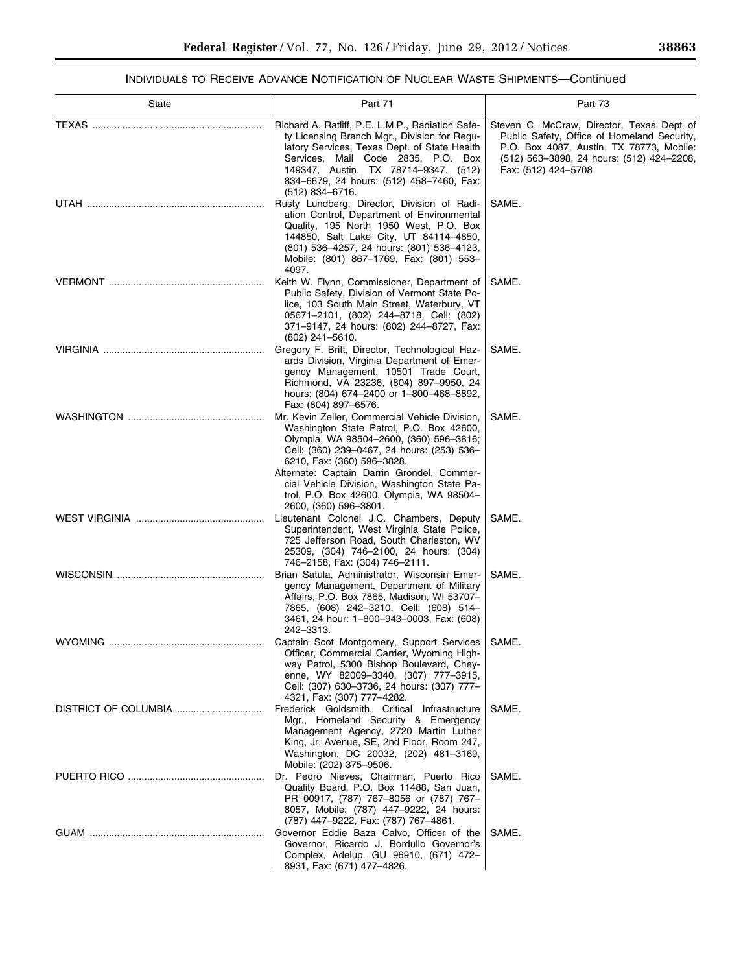# INDIVIDUALS TO RECEIVE ADVANCE NOTIFICATION OF NUCLEAR WASTE SHIPMENTS—Continued

| State                | Part 71                                                                                                                                                                                                                                                                                                                                                    | Part 73                                                                                                                                                                                                  |
|----------------------|------------------------------------------------------------------------------------------------------------------------------------------------------------------------------------------------------------------------------------------------------------------------------------------------------------------------------------------------------------|----------------------------------------------------------------------------------------------------------------------------------------------------------------------------------------------------------|
|                      | Richard A. Ratliff, P.E. L.M.P., Radiation Safe-<br>ty Licensing Branch Mgr., Division for Regu-<br>latory Services, Texas Dept. of State Health<br>Services, Mail Code 2835, P.O. Box<br>149347, Austin, TX 78714-9347, (512)<br>834-6679, 24 hours: (512) 458-7460, Fax:<br>$(512)$ 834–6716.                                                            | Steven C. McCraw, Director, Texas Dept of<br>Public Safety, Office of Homeland Security,<br>P.O. Box 4087, Austin, TX 78773, Mobile:<br>(512) 563-3898, 24 hours: (512) 424-2208,<br>Fax: (512) 424-5708 |
|                      | Rusty Lundberg, Director, Division of Radi-<br>ation Control, Department of Environmental<br>Quality, 195 North 1950 West, P.O. Box<br>144850, Salt Lake City, UT 84114-4850,<br>(801) 536-4257, 24 hours: (801) 536-4123,<br>Mobile: (801) 867-1769, Fax: (801) 553-<br>4097.                                                                             | SAME.                                                                                                                                                                                                    |
|                      | Keith W. Flynn, Commissioner, Department of<br>Public Safety, Division of Vermont State Po-<br>lice, 103 South Main Street, Waterbury, VT<br>05671-2101, (802) 244-8718, Cell: (802)<br>371-9147, 24 hours: (802) 244-8727, Fax:<br>$(802)$ 241-5610.                                                                                                      | SAME.                                                                                                                                                                                                    |
|                      | Gregory F. Britt, Director, Technological Haz-<br>ards Division, Virginia Department of Emer-<br>gency Management, 10501 Trade Court,<br>Richmond, VA 23236, (804) 897-9950, 24<br>hours: (804) 674–2400 or 1–800–468–8892,<br>Fax: (804) 897-6576.                                                                                                        | SAME.                                                                                                                                                                                                    |
|                      | Mr. Kevin Zeller, Commercial Vehicle Division,<br>Washington State Patrol, P.O. Box 42600,<br>Olympia, WA 98504-2600, (360) 596-3816;<br>Cell: (360) 239-0467, 24 hours: (253) 536-<br>6210, Fax: (360) 596-3828.<br>Alternate: Captain Darrin Grondel, Commer-<br>cial Vehicle Division, Washington State Pa-<br>trol, P.O. Box 42600, Olympia, WA 98504- | SAME.                                                                                                                                                                                                    |
|                      | 2600, (360) 596–3801.<br>Lieutenant Colonel J.C. Chambers, Deputy<br>Superintendent, West Virginia State Police,<br>725 Jefferson Road, South Charleston, WV<br>25309, (304) 746-2100, 24 hours: (304)<br>746-2158, Fax: (304) 746-2111.                                                                                                                   | SAME.                                                                                                                                                                                                    |
|                      | Brian Satula, Administrator, Wisconsin Emer-<br>gency Management, Department of Military<br>Affairs, P.O. Box 7865, Madison, WI 53707-<br>7865, (608) 242–3210, Cell: (608) 514–<br>3461, 24 hour: 1-800-943-0003, Fax: (608)<br>242–3313.                                                                                                                 | SAME.                                                                                                                                                                                                    |
| <b>WYOMING</b>       | Captain Scot Montgomery, Support Services   SAME.<br>Officer, Commercial Carrier, Wyoming High-<br>way Patrol, 5300 Bishop Boulevard, Chey-<br>enne, WY 82009-3340, (307) 777-3915,<br>Cell: (307) 630-3736, 24 hours: (307) 777-<br>4321, Fax: (307) 777-4282.                                                                                            |                                                                                                                                                                                                          |
| DISTRICT OF COLUMBIA | Frederick Goldsmith, Critical Infrastructure<br>Mgr., Homeland Security & Emergency<br>Management Agency, 2720 Martin Luther<br>King, Jr. Avenue, SE, 2nd Floor, Room 247,<br>Washington, DC 20032, (202) 481-3169,                                                                                                                                        | SAME.                                                                                                                                                                                                    |
|                      | Mobile: (202) 375-9506.<br>Dr. Pedro Nieves, Chairman, Puerto Rico<br>Quality Board, P.O. Box 11488, San Juan,<br>PR 00917, (787) 767-8056 or (787) 767-<br>8057, Mobile: (787) 447-9222, 24 hours:<br>(787) 447-9222, Fax: (787) 767-4861.                                                                                                                | SAME.                                                                                                                                                                                                    |
|                      | Governor Eddie Baza Calvo, Officer of the<br>Governor, Ricardo J. Bordullo Governor's<br>Complex, Adelup, GU 96910, (671) 472-<br>8931, Fax: (671) 477-4826.                                                                                                                                                                                               | SAME.                                                                                                                                                                                                    |